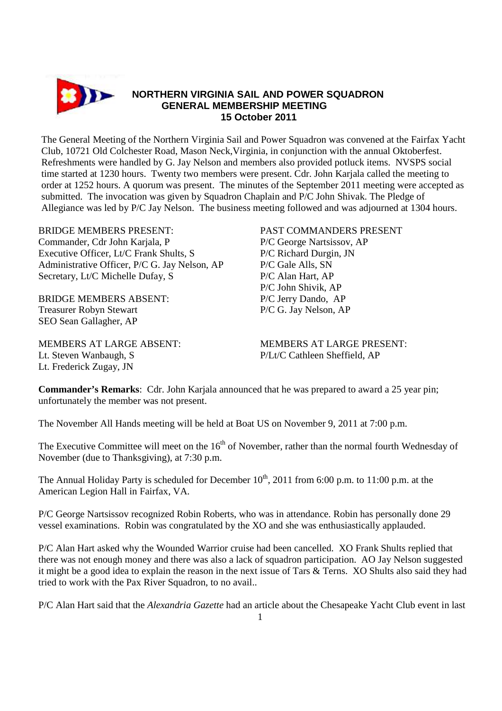

The General Meeting of the Northern Virginia Sail and Power Squadron was convened at the Fairfax Yacht Club, 10721 Old Colchester Road, Mason Neck,Virginia, in conjunction with the annual Oktoberfest. Refreshments were handled by G. Jay Nelson and members also provided potluck items. NVSPS social time started at 1230 hours. Twenty two members were present. Cdr. John Karjala called the meeting to order at 1252 hours. A quorum was present. The minutes of the September 2011 meeting were accepted as submitted. The invocation was given by Squadron Chaplain and P/C John Shivak. The Pledge of Allegiance was led by P/C Jay Nelson. The business meeting followed and was adjourned at 1304 hours.

Commander, Cdr John Karjala, P P/C George Nartsissov, AP Executive Officer, Lt/C Frank Shults, S P/C Richard Durgin, JN Administrative Officer, P/C G. Jay Nelson, AP P/C Gale Alls, SN Secretary, Lt/C Michelle Dufay, S<br>
P/C Alan Hart, AP

BRIDGE MEMBERS ABSENT: P/C Jerry Dando, AP Treasurer Robyn Stewart P/C G. Jay Nelson, AP SEO Sean Gallagher, AP

Lt. Steven Wanbaugh, S P/Lt/C Cathleen Sheffield, AP Lt. Frederick Zugay, JN

## BRIDGE MEMBERS PRESENT: PAST COMMANDERS PRESENT

P/C John Shivik, AP

MEMBERS AT LARGE ABSENT: MEMBERS AT LARGE PRESENT:

**Commander's Remarks**: Cdr. John Karjala announced that he was prepared to award a 25 year pin; unfortunately the member was not present.

The November All Hands meeting will be held at Boat US on November 9, 2011 at 7:00 p.m.

The Executive Committee will meet on the  $16<sup>th</sup>$  of November, rather than the normal fourth Wednesday of November (due to Thanksgiving), at 7:30 p.m.

The Annual Holiday Party is scheduled for December  $10^{th}$ , 2011 from 6:00 p.m. to 11:00 p.m. at the American Legion Hall in Fairfax, VA.

P/C George Nartsissov recognized Robin Roberts, who was in attendance. Robin has personally done 29 vessel examinations. Robin was congratulated by the XO and she was enthusiastically applauded.

P/C Alan Hart asked why the Wounded Warrior cruise had been cancelled. XO Frank Shults replied that there was not enough money and there was also a lack of squadron participation. AO Jay Nelson suggested it might be a good idea to explain the reason in the next issue of Tars & Terns. XO Shults also said they had tried to work with the Pax River Squadron, to no avail..

P/C Alan Hart said that the *Alexandria Gazette* had an article about the Chesapeake Yacht Club event in last